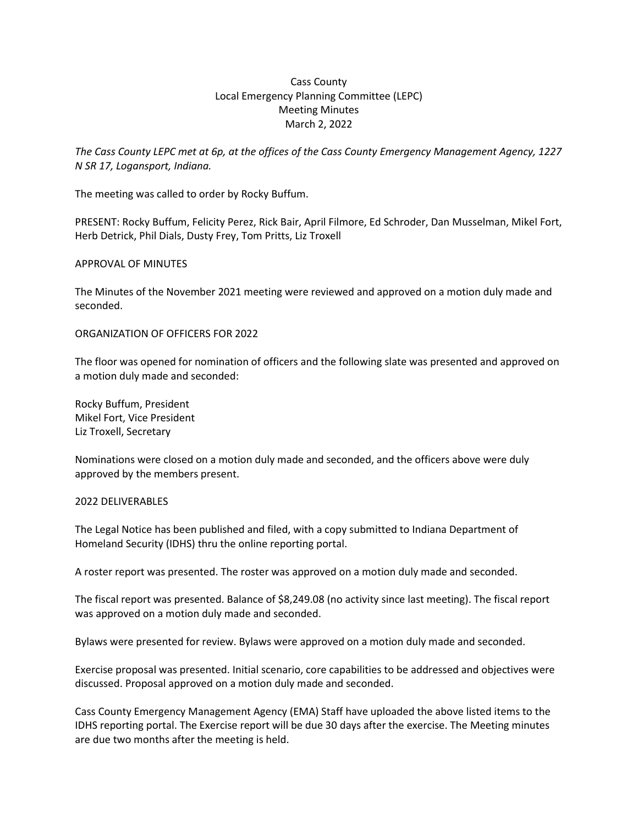# Cass County Local Emergency Planning Committee (LEPC) Meeting Minutes March 2, 2022

*The Cass County LEPC met at 6p, at the offices of the Cass County Emergency Management Agency, 1227 N SR 17, Logansport, Indiana.* 

The meeting was called to order by Rocky Buffum.

PRESENT: Rocky Buffum, Felicity Perez, Rick Bair, April Filmore, Ed Schroder, Dan Musselman, Mikel Fort, Herb Detrick, Phil Dials, Dusty Frey, Tom Pritts, Liz Troxell

### APPROVAL OF MINUTES

The Minutes of the November 2021 meeting were reviewed and approved on a motion duly made and seconded.

### ORGANIZATION OF OFFICERS FOR 2022

The floor was opened for nomination of officers and the following slate was presented and approved on a motion duly made and seconded:

Rocky Buffum, President Mikel Fort, Vice President Liz Troxell, Secretary

Nominations were closed on a motion duly made and seconded, and the officers above were duly approved by the members present.

### 2022 DELIVERABLES

The Legal Notice has been published and filed, with a copy submitted to Indiana Department of Homeland Security (IDHS) thru the online reporting portal.

A roster report was presented. The roster was approved on a motion duly made and seconded.

The fiscal report was presented. Balance of \$8,249.08 (no activity since last meeting). The fiscal report was approved on a motion duly made and seconded.

Bylaws were presented for review. Bylaws were approved on a motion duly made and seconded.

Exercise proposal was presented. Initial scenario, core capabilities to be addressed and objectives were discussed. Proposal approved on a motion duly made and seconded.

Cass County Emergency Management Agency (EMA) Staff have uploaded the above listed items to the IDHS reporting portal. The Exercise report will be due 30 days after the exercise. The Meeting minutes are due two months after the meeting is held.